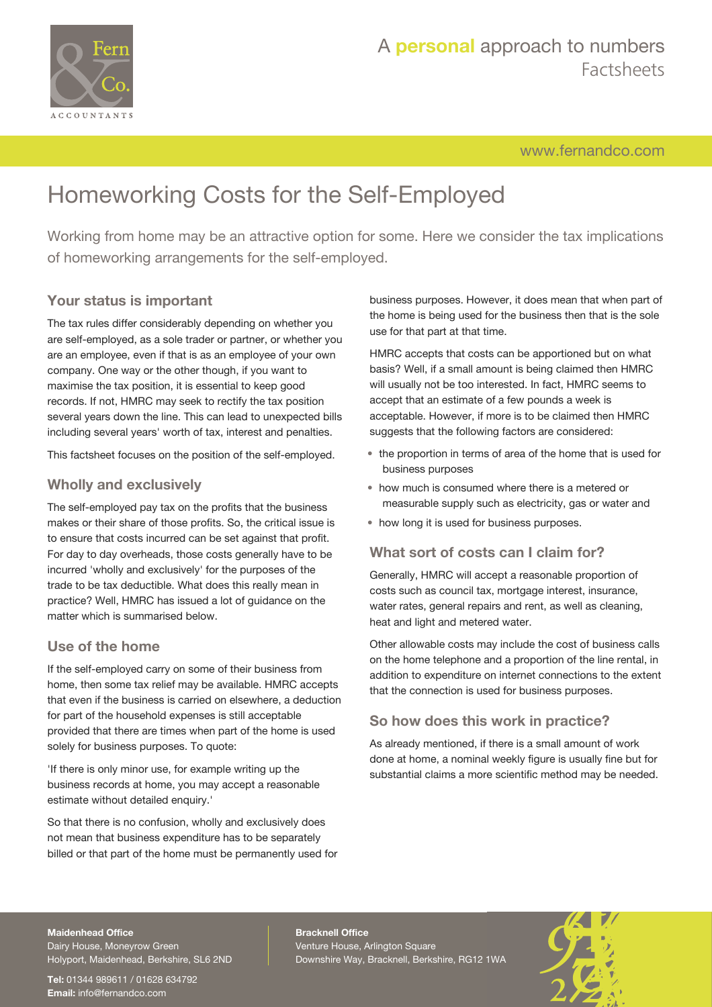

## A **personal** approach to numbers Factsheets

[www.fernandco.com](http://www.fernandco.com)

# Homeworking Costs for the Self-Employed

Working from home may be an attractive option for some. Here we consider the tax implications of homeworking arrangements for the self-employed.

## **Your status is important**

The tax rules differ considerably depending on whether you are self-employed, as a sole trader or partner, or whether you are an employee, even if that is as an employee of your own company. One way or the other though, if you want to maximise the tax position, it is essential to keep good records. If not, HMRC may seek to rectify the tax position several years down the line. This can lead to unexpected bills including several years' worth of tax, interest and penalties.

This factsheet focuses on the position of the self-employed.

## **Wholly and exclusively**

The self-employed pay tax on the profits that the business makes or their share of those profits. So, the critical issue is to ensure that costs incurred can be set against that profit. For day to day overheads, those costs generally have to be incurred 'wholly and exclusively' for the purposes of the trade to be tax deductible. What does this really mean in practice? Well, HMRC has issued a lot of guidance on the matter which is summarised below.

### **Use of the home**

If the self-employed carry on some of their business from home, then some tax relief may be available. HMRC accepts that even if the business is carried on elsewhere, a deduction for part of the household expenses is still acceptable provided that there are times when part of the home is used solely for business purposes. To quote:

'If there is only minor use, for example writing up the business records at home, you may accept a reasonable estimate without detailed enquiry.'

So that there is no confusion, wholly and exclusively does not mean that business expenditure has to be separately billed or that part of the home must be permanently used for business purposes. However, it does mean that when part of the home is being used for the business then that is the sole use for that part at that time.

HMRC accepts that costs can be apportioned but on what basis? Well, if a small amount is being claimed then HMRC will usually not be too interested. In fact, HMRC seems to accept that an estimate of a few pounds a week is acceptable. However, if more is to be claimed then HMRC suggests that the following factors are considered:

- the proportion in terms of area of the home that is used for business purposes
- how much is consumed where there is a metered or measurable supply such as electricity, gas or water and
- how long it is used for business purposes.

## **What sort of costs can I claim for?**

Generally, HMRC will accept a reasonable proportion of costs such as council tax, mortgage interest, insurance, water rates, general repairs and rent, as well as cleaning, heat and light and metered water.

Other allowable costs may include the cost of business calls on the home telephone and a proportion of the line rental, in addition to expenditure on internet connections to the extent that the connection is used for business purposes.

## **So how does this work in practice?**

As already mentioned, if there is a small amount of work done at home, a nominal weekly figure is usually fine but for substantial claims a more scientific method may be needed.

#### **Maidenhead Office**

Dairy House, Moneyrow Green Holyport, Maidenhead, Berkshire, SL6 2ND

**Tel:** 01344 989611 / 01628 634792 **Email:** [info@fernandco.com](mailto:info@fernandco.com)

**Bracknell Office** Venture House, Arlington Square Downshire Way, Bracknell, Berkshire, RG12 1WA